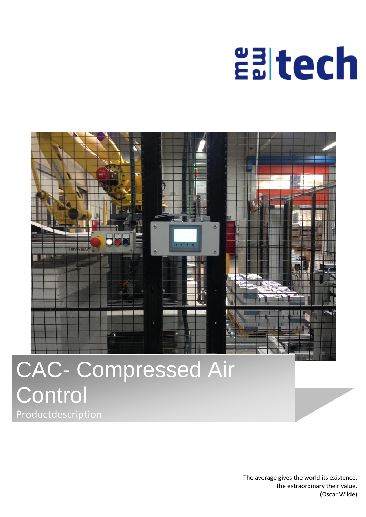# **Ealtech**



## CAC- Compressed Air **Control Productdescription**

The average gives the world its existence, the extraordinary their value. (Oscar Wilde)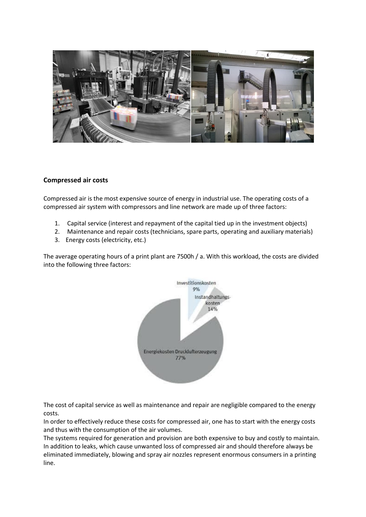

#### **Compressed air costs**

Compressed air is the most expensive source of energy in industrial use. The operating costs of a compressed air system with compressors and line network are made up of three factors:

- 1. Capital service (interest and repayment of the capital tied up in the investment objects)
- 2. Maintenance and repair costs (technicians, spare parts, operating and auxiliary materials)
- 3. Energy costs (electricity, etc.)

The average operating hours of a print plant are 7500h / a. With this workload, the costs are divided into the following three factors:



The cost of capital service as well as maintenance and repair are negligible compared to the energy costs.

In order to effectively reduce these costs for compressed air, one has to start with the energy costs and thus with the consumption of the air volumes.

The systems required for generation and provision are both expensive to buy and costly to maintain. In addition to leaks, which cause unwanted loss of compressed air and should therefore always be eliminated immediately, blowing and spray air nozzles represent enormous consumers in a printing line.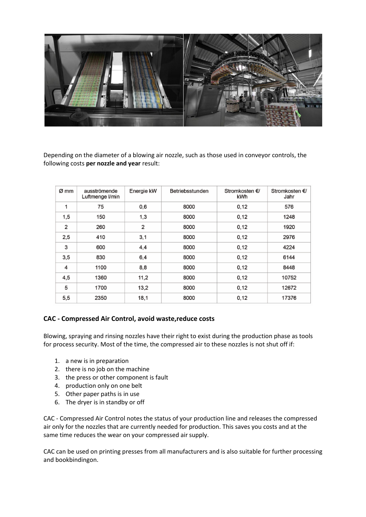

Depending on the diameter of a blowing air nozzle, such as those used in conveyor controls, the following costs **per nozzle and year** result:

| Ø mm           | ausströmende<br>Luftmenge I/min | Energie kW | Betriebsstunden | Stromkosten €/<br>kWh | Stromkosten €/<br>Jahr |
|----------------|---------------------------------|------------|-----------------|-----------------------|------------------------|
| 1              | 75                              | 0,6        | 8000            | 0,12                  | 576                    |
| 1,5            | 150                             | 1,3        | 8000            | 0,12                  | 1248                   |
| $\overline{2}$ | 260                             | 2          | 8000            | 0,12                  | 1920                   |
| 2,5            | 410                             | 3,1        | 8000            | 0,12                  | 2976                   |
| 3              | 600                             | 4,4        | 8000            | 0,12                  | 4224                   |
| 3,5            | 830                             | 6,4        | 8000            | 0,12                  | 6144                   |
| 4              | 1100                            | 8,8        | 8000            | 0,12                  | 8448                   |
| 4,5            | 1360                            | 11,2       | 8000            | 0,12                  | 10752                  |
| 5              | 1700                            | 13,2       | 8000            | 0,12                  | 12672                  |
| 5,5            | 2350                            | 18,1       | 8000            | 0,12                  | 17376                  |

### **CAC - Compressed Air Control, avoid waste,reduce costs**

Blowing, spraying and rinsing nozzles have their right to exist during the production phase as tools for process security. Most of the time, the compressed air to these nozzles is not shut off if:

- 1. a new is in preparation
- 2. there is no job on the machine
- 3. the press or other component is fault
- 4. production only on one belt
- 5. Other paper paths is in use
- 6. The dryer is in standby or off

CAC - Compressed Air Control notes the status of your production line and releases the compressed air only for the nozzles that are currently needed for production. This saves you costs and at the same time reduces the wear on your compressed air supply.

CAC can be used on printing presses from all manufacturers and is also suitable for further processing and bookbindingon.